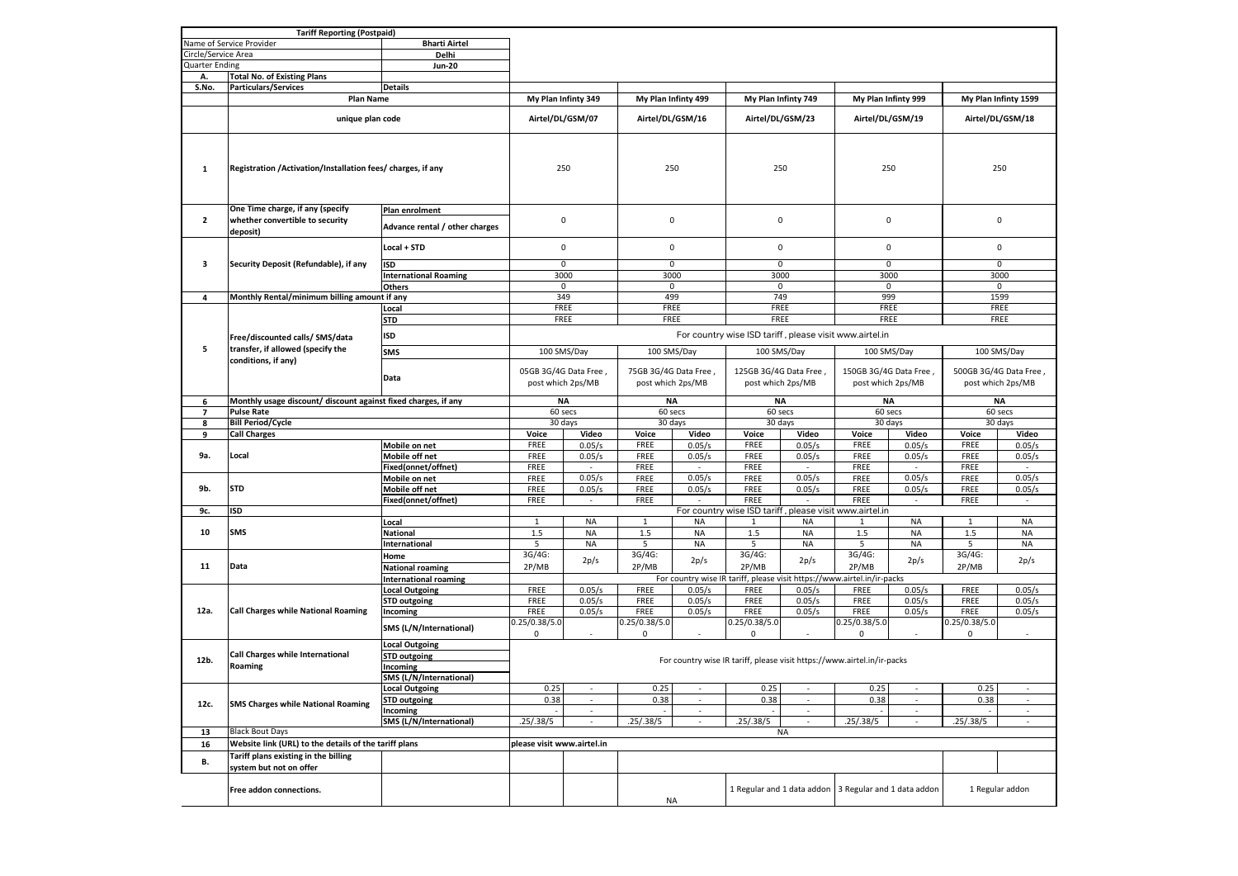|                                                  | <b>Tariff Reporting (Postpaid)</b>                                                  |                                |                                            |                          |                                           |                          |                                            |                          |                                                                         |                          |                                            |                          |
|--------------------------------------------------|-------------------------------------------------------------------------------------|--------------------------------|--------------------------------------------|--------------------------|-------------------------------------------|--------------------------|--------------------------------------------|--------------------------|-------------------------------------------------------------------------|--------------------------|--------------------------------------------|--------------------------|
| <b>Bharti Airtel</b><br>Name of Service Provider |                                                                                     |                                |                                            |                          |                                           |                          |                                            |                          |                                                                         |                          |                                            |                          |
| Circle/Service Area                              |                                                                                     | Delhi                          |                                            |                          |                                           |                          |                                            |                          |                                                                         |                          |                                            |                          |
| <b>Quarter Ending</b>                            |                                                                                     | <b>Jun-20</b>                  |                                            |                          |                                           |                          |                                            |                          |                                                                         |                          |                                            |                          |
| Α.                                               | <b>Total No. of Existing Plans</b>                                                  |                                |                                            |                          |                                           |                          |                                            |                          |                                                                         |                          |                                            |                          |
| S.No.                                            | <b>Particulars/Services</b>                                                         | <b>Details</b>                 |                                            |                          |                                           |                          |                                            |                          |                                                                         |                          |                                            |                          |
|                                                  | <b>Plan Name</b>                                                                    |                                |                                            |                          | My Plan Infinty 499                       |                          | My Plan Infinty 749                        |                          |                                                                         |                          |                                            |                          |
|                                                  |                                                                                     |                                | My Plan Infinty 349                        |                          |                                           |                          |                                            |                          | My Plan Infinty 999                                                     |                          | My Plan Infinty 1599                       |                          |
|                                                  | unique plan code                                                                    |                                | Airtel/DL/GSM/07                           |                          | Airtel/DL/GSM/16                          |                          | Airtel/DL/GSM/23                           |                          | Airtel/DL/GSM/19                                                        |                          | Airtel/DL/GSM/18                           |                          |
|                                                  | Registration /Activation/Installation fees/ charges, if any                         |                                |                                            |                          |                                           |                          |                                            |                          |                                                                         |                          |                                            |                          |
| 1                                                |                                                                                     |                                | 250                                        |                          | 250                                       |                          | 250                                        |                          | 250                                                                     |                          | 250                                        |                          |
|                                                  | One Time charge, if any (specify                                                    | Plan enrolment                 |                                            |                          |                                           |                          |                                            |                          |                                                                         |                          |                                            |                          |
| $\mathbf{2}$                                     | whether convertible to security<br>deposit)                                         | Advance rental / other charges | $\mathbf 0$                                |                          | 0                                         |                          | 0                                          |                          | 0                                                                       |                          | 0                                          |                          |
| з                                                | Security Deposit (Refundable), if any                                               | Local + STD                    | $\pmb{0}$                                  |                          | 0                                         |                          | $\mathsf 0$                                |                          | $\mathsf{O}\xspace$                                                     |                          | 0                                          |                          |
|                                                  |                                                                                     | ISD                            | $\mathbf 0$                                |                          | $\mathsf 0$                               |                          | $\pmb{0}$                                  |                          | $\mathbf 0$                                                             |                          |                                            | $\mathbf 0$              |
|                                                  |                                                                                     | <b>International Roaming</b>   | 3000                                       |                          | 3000                                      |                          | 3000                                       |                          | 3000                                                                    |                          | 3000                                       |                          |
|                                                  |                                                                                     | <b>Others</b>                  |                                            | 0<br>0<br>0              |                                           |                          | 0                                          |                          | $^{\circ}$                                                              |                          |                                            |                          |
| 4                                                | Monthly Rental/minimum billing amount if any                                        |                                | 349                                        |                          | 499                                       |                          | 749                                        |                          | 999                                                                     |                          |                                            | 1599                     |
|                                                  |                                                                                     | Local                          | FREE                                       |                          | FREE                                      |                          | FREE<br>FREE                               |                          |                                                                         | FREE                     |                                            |                          |
|                                                  |                                                                                     | <b>STD</b>                     | FREE                                       |                          | FREE                                      |                          | FREE                                       |                          | FREE                                                                    |                          |                                            | FREE                     |
|                                                  |                                                                                     |                                |                                            |                          |                                           |                          |                                            |                          |                                                                         |                          |                                            |                          |
|                                                  | Free/discounted calls/ SMS/data                                                     | <b>ISD</b>                     |                                            |                          |                                           |                          |                                            |                          | For country wise ISD tariff, please visit www.airtel.in                 |                          |                                            |                          |
| 5                                                | transfer, if allowed (specify the                                                   | <b>SMS</b>                     |                                            |                          |                                           |                          |                                            |                          |                                                                         |                          | 100 SMS/Day                                |                          |
|                                                  | conditions, if any)                                                                 |                                | 100 SMS/Day                                |                          | 100 SMS/Day                               |                          | 100 SMS/Day                                |                          | 100 SMS/Day                                                             |                          |                                            |                          |
|                                                  |                                                                                     |                                | 05GB 3G/4G Data Free,<br>post which 2ps/MB |                          | 75GB 3G/4G Data Free<br>post which 2ps/MB |                          | 125GB 3G/4G Data Free<br>post which 2ps/MB |                          | 150GB 3G/4G Data Free<br>post which 2ps/MB                              |                          | 500GB 3G/4G Data Free<br>post which 2ps/MB |                          |
|                                                  |                                                                                     | Data                           |                                            |                          |                                           |                          |                                            |                          |                                                                         |                          |                                            |                          |
| 6                                                | Monthly usage discount/ discount against fixed charges, if any                      |                                | <b>NA</b>                                  |                          | NA                                        |                          | <b>NA</b>                                  |                          | NA                                                                      |                          | <b>NA</b>                                  |                          |
| 7                                                | <b>Pulse Rate</b>                                                                   |                                | 60 secs                                    |                          | 60 secs                                   |                          | 60 secs                                    |                          | 60 secs                                                                 |                          | 60 secs                                    |                          |
| 8                                                | <b>Bill Period/Cycle</b>                                                            |                                | 30 days                                    |                          | 30 days                                   |                          | 30 days                                    |                          | 30 days                                                                 |                          | 30 days                                    |                          |
| 9                                                | <b>Call Charges</b>                                                                 |                                | Voice                                      | Video                    | Voice                                     | Video                    | Voice                                      | Video                    | Voice                                                                   | Video                    | Voice                                      | Video                    |
|                                                  | Local                                                                               | Mobile on net                  | FREE                                       | 0.05/s                   | FREE                                      | 0.05/s                   | FREE                                       | 0.05/s                   | FREE                                                                    | 0.05/s                   | FREE                                       | 0.05/s                   |
| 9a.                                              |                                                                                     | Mobile off net                 | FREE                                       | 0.05/s                   | FREE                                      | 0.05/s                   | FREE                                       | 0.05/s                   | FREE                                                                    | 0.05/s                   | FREE                                       | 0.05/s                   |
|                                                  |                                                                                     | Fixed(onnet/offnet)            | FREE                                       |                          | FREE                                      |                          | FREE                                       |                          | FREE                                                                    |                          | FREE                                       |                          |
|                                                  | <b>STD</b>                                                                          | Mobile on net                  | FREE                                       | 0.05/s                   | FREE                                      | 0.05/s                   | FREE                                       | 0.05/s                   | FREE                                                                    | 0.05/s                   | FREE                                       | 0.05/s                   |
| 9b.                                              |                                                                                     | Mobile off net                 | FREE                                       | 0.05/s                   | FREE                                      | 0.05/s                   | FREE                                       | 0.05/s                   | FREE                                                                    | 0.05/s                   | FREE                                       | 0.05/s                   |
|                                                  |                                                                                     | Fixed(onnet/offnet)            | FREE                                       | $\sim$                   | FREE                                      | $\overline{\phantom{a}}$ | FREE                                       | $\overline{\phantom{a}}$ | FREE                                                                    | $\sim$                   | FREE                                       | $\sim$                   |
| 9c.                                              | ISD<br>For country wise ISD tariff, please visit www.airtel.in                      |                                |                                            |                          |                                           |                          |                                            |                          |                                                                         |                          |                                            |                          |
|                                                  | <b>SMS</b>                                                                          | Local                          | $\mathbf{1}$                               | <b>NA</b>                | $\mathbf{1}$                              | <b>NA</b>                | 1                                          | NA                       | $\mathbf{1}$                                                            | <b>NA</b>                | $\mathbf{1}$                               | <b>NA</b>                |
| 10                                               |                                                                                     | <b>National</b>                | 1.5                                        | <b>NA</b>                | 1.5                                       | <b>NA</b>                | 1.5                                        | <b>NA</b>                | 1.5                                                                     | <b>NA</b>                | 1.5                                        | <b>NA</b>                |
|                                                  |                                                                                     | International                  | 5                                          | <b>NA</b>                | 5                                         | <b>NA</b>                | 5                                          | <b>NA</b>                | 5                                                                       | <b>NA</b>                | 5                                          | <b>NA</b>                |
|                                                  |                                                                                     | Home                           | 3G/4G:                                     |                          | 3G/4G:                                    |                          | 3G/4G:                                     |                          | 3G/4G:                                                                  |                          | 3G/4G:                                     |                          |
| 11                                               | Data                                                                                | <b>National roaming</b>        | 2P/MB                                      | 2p/s                     | 2P/MB                                     | 2p/s                     | 2P/MB                                      | 2p/s                     | 2P/MB                                                                   | 2p/s                     | 2P/MB                                      | 2p/s                     |
|                                                  |                                                                                     | <b>International roaming</b>   |                                            |                          |                                           |                          |                                            |                          | For country wise IR tariff, please visit https://www.airtel.in/ir-packs |                          |                                            |                          |
|                                                  |                                                                                     | <b>Local Outgoing</b>          | FREE                                       | 0.05/s                   | FREE                                      | 0.05/s                   | FREE                                       | 0.05/s                   | FREE                                                                    | 0.05/s                   | FREE                                       | 0.05/s                   |
| 12a.                                             | Call Charges while National Roaming                                                 | <b>STD outgoing</b>            | FREE                                       | 0.05/s                   | FREE                                      | 0.05/s                   | FREE                                       | 0.05/s                   | FREE                                                                    | 0.05/s                   | FREE                                       | 0.05/s                   |
|                                                  |                                                                                     | Incoming                       | FREE                                       | 0.05/s                   | FREE                                      | 0.05/s                   | FREE                                       | 0.05/s                   | FREE                                                                    | 0.05/s                   | FREE                                       | 0.05/s                   |
|                                                  |                                                                                     |                                | 0.25/0.38/5.0                              |                          | 0.25/0.38/5.0                             |                          | 0.25/0.38/5.0                              |                          | 0.25/0.38/5.0                                                           |                          | 0.25/0.38/5.0                              |                          |
|                                                  |                                                                                     | SMS (L/N/International)        | 0                                          |                          | 0                                         | $\overline{\phantom{a}}$ | 0                                          |                          | 0                                                                       |                          | 0                                          |                          |
| 12b.                                             |                                                                                     | <b>Local Outgoing</b>          |                                            |                          |                                           |                          |                                            |                          |                                                                         |                          |                                            |                          |
|                                                  | Call Charges while International<br>Roaming                                         | <b>STD outgoing</b>            |                                            |                          |                                           |                          |                                            |                          | For country wise IR tariff, please visit https://www.airtel.in/ir-packs |                          |                                            |                          |
|                                                  |                                                                                     | Incoming                       |                                            |                          |                                           |                          |                                            |                          |                                                                         |                          |                                            |                          |
|                                                  |                                                                                     | SMS (L/N/International)        |                                            |                          |                                           |                          |                                            |                          |                                                                         |                          |                                            |                          |
| 12c.                                             | <b>SMS Charges while National Roaming</b>                                           | ocal Outgoing                  | 0.25                                       |                          | 0.25                                      |                          | 0.25                                       |                          | 0.25                                                                    |                          | 0.25                                       |                          |
|                                                  |                                                                                     | <b>STD outgoing</b>            | 0.38                                       | $\overline{\phantom{a}}$ | 0.38                                      | $\overline{\phantom{a}}$ | 0.38                                       | $\overline{\phantom{a}}$ | 0.38                                                                    | $\overline{\phantom{a}}$ | 0.38                                       | $\sim$                   |
|                                                  |                                                                                     | Incoming                       |                                            | $\blacksquare$           |                                           | $\overline{\phantom{a}}$ |                                            | ÷,                       |                                                                         | ÷,                       |                                            | $\overline{\phantom{a}}$ |
|                                                  |                                                                                     | SMS (L/N/International)        | .25/.38/5                                  | $\overline{\phantom{a}}$ | .25/.38/5                                 | $\sim$                   | .25/.38/5                                  | $\overline{\phantom{a}}$ | .25/.38/5                                                               | $\overline{\phantom{a}}$ | .25/.38/5                                  | $\sim$                   |
| 13                                               | <b>Black Bout Days</b>                                                              |                                |                                            |                          |                                           |                          | <b>NA</b>                                  |                          |                                                                         |                          |                                            |                          |
| 16                                               | Website link (URL) to the details of the tariff plans<br>please visit www.airtel.in |                                |                                            |                          |                                           |                          |                                            |                          |                                                                         |                          |                                            |                          |
| В.                                               | Tariff plans existing in the billing<br>system but not on offer                     |                                |                                            |                          |                                           |                          |                                            |                          |                                                                         |                          |                                            |                          |
|                                                  | Free addon connections.                                                             |                                |                                            |                          | <b>NA</b>                                 |                          | 1 Regular and 1 data addon                 |                          | 3 Regular and 1 data addon                                              |                          | 1 Regular addon                            |                          |